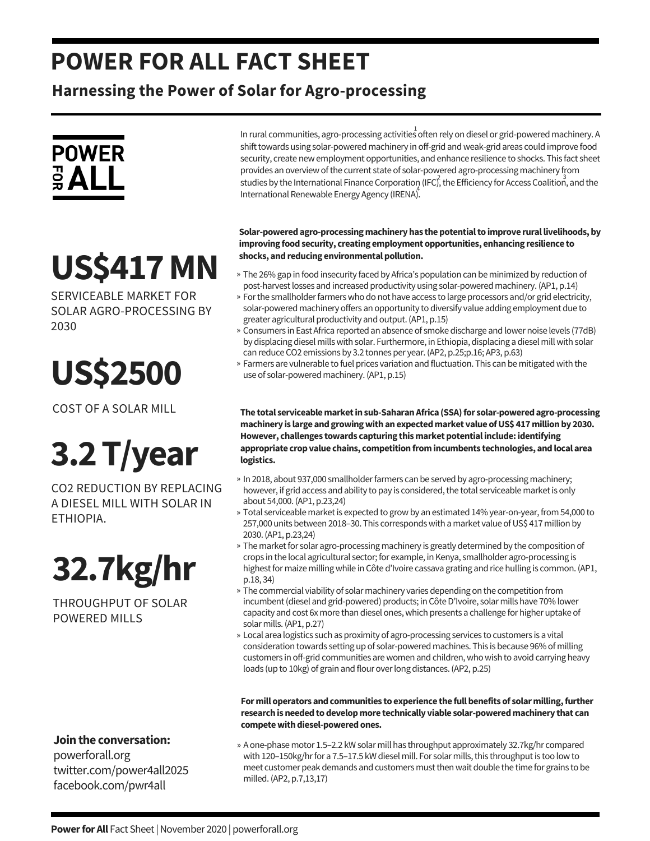### **POWER FOR ALL FACT SHEET**

**Harnessing the Power of Solar for Agro-processing**



## **US\$417MN**

SERVICEABLE MARKET FOR SOLAR AGRO-PROCESSING BY 2030

**US\$2500**

COST OF A SOLAR MILL

# **3.2T/year**

CO2 REDUCTION BY REPLACING A DIESEL MILL WITH SOLAR IN ETHIOPIA.

### **32.7kg/hr**

THROUGHPUT OF SOLAR POWERED MILLS

In rural communities, agro-processing activities often rely on diesel or grid-powered machinery. A 1 shift towards using solar-powered machinery in off-grid and weak-grid areas could improve food security, create new employment opportunities, and enhance resilience to shocks. This fact sheet provides an overview of the current state of solar-powered agro-processing machinery from studies by the International Finance Corporation (IFC), the Efficiency for Access Coalition, and the International Renewable Energy Agency (IRENA).

**Solar-poweredagro-processingmachineryhas thepotentialto improve rurallivelihoods,by improving foodsecurity, creating employment opportunities, enhancing resilience to shocks, andreducing environmentalpollution.**

- The 26% gap in food insecurity faced by Africa's population can be minimized by reduction of » post-harvest losses and increased productivity using solar-powered machinery. (AP1, p.14)
- » For the smallholder farmers who do not have access to large processors and/or grid electricity, solar-powered machinery offers an opportunity to diversify value adding employment dueto greater agricultural productivity and output.(AP1, p.15)
- » Consumers in East Africa reported an absence of smoke discharge and lower noise levels (77dB) by displacing diesel millswith solar. Furthermore, in Ethiopia, displacing a diesel millwith solar can reduce CO2 emissions by 3.2 tonnes per year. (AP2, p.25;p.16; AP3, p.63)
- » Farmers are vulnerable to fuel prices variation and fluctuation. This can be mitigated with the use of solar-powered machinery.(AP1, p.15)

**The total serviceablemarketinsub-SaharanAfrica (SSA)for solar-poweredagro-processing machinery is large andgrowingwithanexpectedmarket value ofUS\$ 417millionby 2030. However, challenges towards capturing thismarketpotentialinclude:identifying appropriate cropvalue chains, competitionfromincumbents technologies, andlocal area logistics.**

- » In 2018, about 937,000 smallholder farmers can be served by agro-processing machinery; however, if grid access and ability to pay is considered, the total serviceable market is only about 54,000.(AP1, p.23,24)
- » Total serviceable market is expected to grow by an estimated 14% year-on-year, from 54,000 to 257,000 units between 2018–30. This corresponds with a market value of US\$ 417 million by 2030.(AP1, p.23,24)
- » The market for solar agro-processing machinery is greatly determined by the composition of crops in the local agricultural sector; for example, in Kenya, smallholder agro-processing is highest for maize milling while in Côte d'Ivoire cassava grating and rice hulling is common. (AP1, p.18, 34)
- » The commercial viability of solar machinery varies depending on the competition from incumbent (diesel and grid-powered) products; in Côte D'Ivoire, solar mills have 70% lower capacity and cost 6x more than diesel ones, which presents a challenge for higher uptake of solar mills.(AP1, p.27)
- Local area logistics such as proximity of agro-processing services to customers is a vital » consideration towards setting up of solar-powered machines. This is because 96% of milling customers in off-grid communities arewomen and children,whowish to avoid carrying heavy loads (up to 10kg) of grain and flour overlong distances.(AP2, p.25)

**Formill operators andcommunities to experience the fullbenefits of solarmilling,further researchisneededtodevelopmore technically viable solar-poweredmachinery that can** compete with diesel-powered ones.

#### **Jointhe conversation:**

powerforall.org twitter.com/power4all2025 facebook.com/pwr4all

» A one-phase motor 1.5–2.2 kW solar mill has throughput approximately 32.7kg/hr compared with 120–150kg/hr for a 7.5–17.5 kW diesel mill. For solar mills, this throughput is too low to meet customer peak demands and customers must then wait double the time for grains to be milled.(AP2, p.7,13,17)